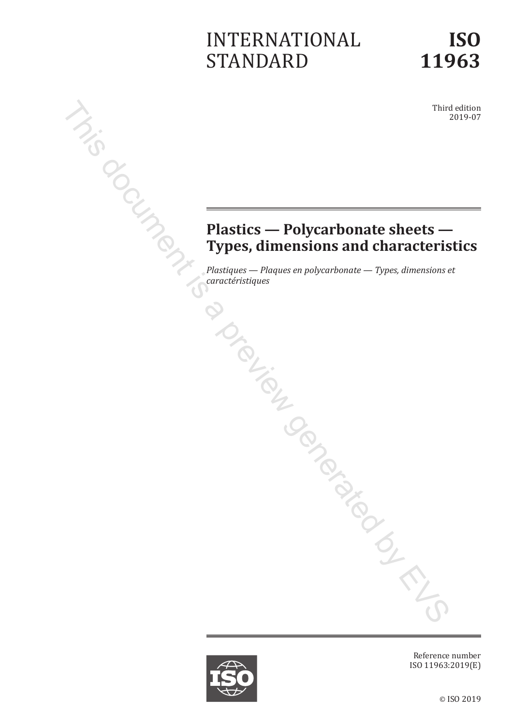# INTERNATIONAL STANDARD

Third edition 2019-07

# **Plastics — Polycarbonate sheets — Types, dimensions and characteristics**  $Z_{f}$ <br>  $C_{f}$  = **Plas.**<br> **Plas.**<br> **Plas.**<br> **Plas.**<br> **Plas.**<br> **Plas.**<br> **Plas.**<br> **Plas.**<br> **Plas.**<br> **Plas.**<br> **Plas.**<br> **Plas.**<br> **Plastiques – Plac.** This document is a previous complex proposition of the state of the contract the strategy of the plastics  $\frac{P_{\text{D}}}{P_{\text{D}}P_{\text{C}}P_{\text{C}}P_{\text{C}}P_{\text{C}}P_{\text{C}}P_{\text{C}}P_{\text{C}}P_{\text{C}}P_{\text{C}}P_{\text{C}}P_{\text{C}}P_{\text{C}}P_{\text{C}}P_{\text{$

*Plastiques — Plaques en polycarbonate — Types, dimensions et* 



Reference number ISO 11963:2019(E)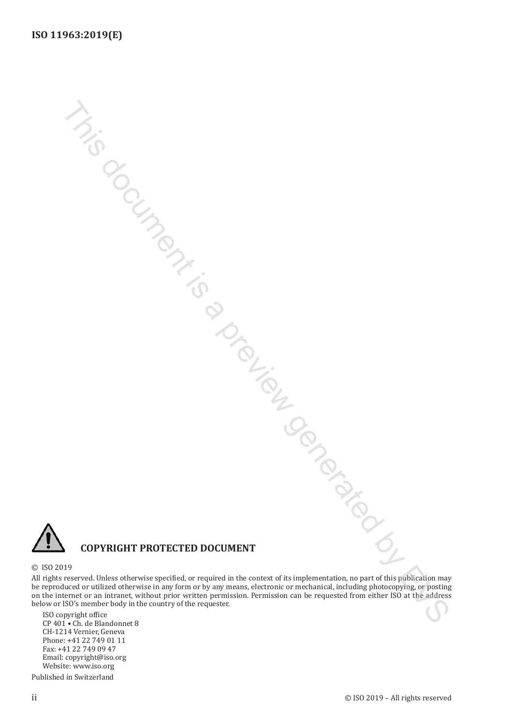

#### **COPYRIGHT PROTECTED DOCUMENT**

#### © ISO 2019

All rights reserved. Unless otherwise specified, or required in the context of its implementation, no part of this publication may be reproduced or utilized otherwise in any form or by any means, electronic or mechanical, including photocopying, or posting on the internet or an intranet, without prior written permission. Permission can be requested from either ISO at the address below or ISO's member body in the country of the requester. This document is a preview generated by EVS

ISO copyright office CP 401 • Ch. de Blandonnet 8 CH-1214 Vernier, Geneva Phone: +41 22 749 01 11 Fax: +41 22 749 09 47 Email: copyright@iso.org Website: www.iso.org

Published in Switzerland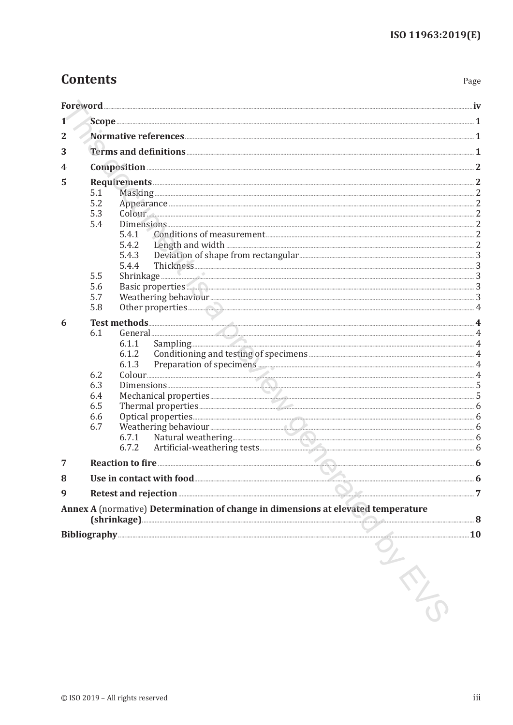# **Contents**

Page

| 1              |            |                                                                                                                                                                                                                                              |  |
|----------------|------------|----------------------------------------------------------------------------------------------------------------------------------------------------------------------------------------------------------------------------------------------|--|
| $\overline{2}$ |            |                                                                                                                                                                                                                                              |  |
| 3              |            |                                                                                                                                                                                                                                              |  |
| 4              |            |                                                                                                                                                                                                                                              |  |
|                |            |                                                                                                                                                                                                                                              |  |
| 5              | 5.1        |                                                                                                                                                                                                                                              |  |
|                | 5.2        |                                                                                                                                                                                                                                              |  |
|                | 5.3        | $\text{Column}$ 2                                                                                                                                                                                                                            |  |
|                | 5.4        |                                                                                                                                                                                                                                              |  |
|                |            | 5.4.1                                                                                                                                                                                                                                        |  |
|                |            | 5.4.2                                                                                                                                                                                                                                        |  |
|                |            | 5.4.3                                                                                                                                                                                                                                        |  |
|                |            | 5.4.4                                                                                                                                                                                                                                        |  |
|                | 5.5        | $\text{Shrinkage}\text{}\text{}\text{}$                                                                                                                                                                                                      |  |
|                | 5.6<br>5.7 |                                                                                                                                                                                                                                              |  |
|                | 5.8        |                                                                                                                                                                                                                                              |  |
|                |            |                                                                                                                                                                                                                                              |  |
| 6              | 6.1        | Test methods 4                                                                                                                                                                                                                               |  |
|                |            | Sampling 4<br>6.1.1                                                                                                                                                                                                                          |  |
|                |            | Conditioning and testing of specimens <b>Example 20</b> and 20 and 20 and 20 and 20 and 20 and 20 and 20 and 20 and 20 and 20 and 20 and 20 and 20 and 20 and 20 and 20 and 20 and 20 and 20 and 20 and 20 and 20 and 20 and 20 and<br>6.1.2 |  |
|                |            | 6.1.3                                                                                                                                                                                                                                        |  |
|                | 6.2        |                                                                                                                                                                                                                                              |  |
|                | 6.3        |                                                                                                                                                                                                                                              |  |
|                | 6.4        | Mechanical properties                                                                                                                                                                                                                        |  |
|                | 6.5        | Thermal properties                                                                                                                                                                                                                           |  |
|                | 6.6        |                                                                                                                                                                                                                                              |  |
|                | 6.7        |                                                                                                                                                                                                                                              |  |
|                |            | 6.7.1<br>6.7.2                                                                                                                                                                                                                               |  |
|                |            |                                                                                                                                                                                                                                              |  |
| 7              |            | Reaction to fire <b>Execution</b> to fire <b>Execution</b> 6                                                                                                                                                                                 |  |
| 8              |            |                                                                                                                                                                                                                                              |  |
| 9              |            | Retest and rejection 27                                                                                                                                                                                                                      |  |
|                |            | Annex A (normative) Determination of change in dimensions at elevated temperature<br>(shrinkage) 3                                                                                                                                           |  |
|                |            | Bibliography 2016 10                                                                                                                                                                                                                         |  |
|                |            | $rac{1}{\sqrt{2}}$                                                                                                                                                                                                                           |  |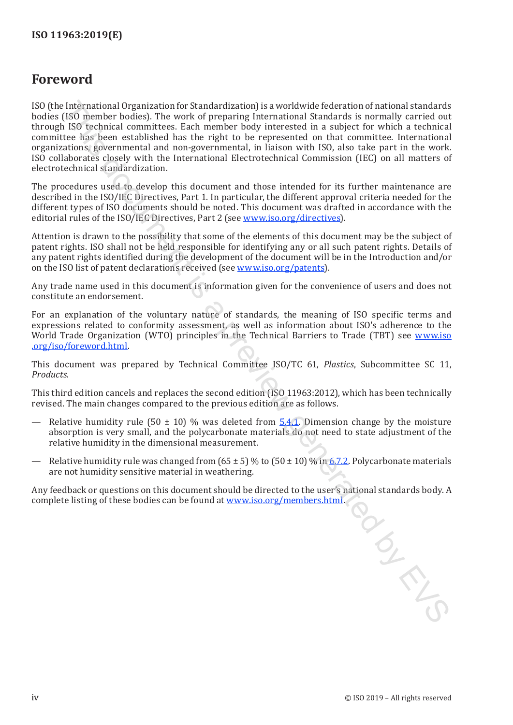### <span id="page-3-0"></span>**Foreword**

ISO (the International Organization for Standardization) is a worldwide federation of national standards bodies (ISO member bodies). The work of preparing International Standards is normally carried out through ISO technical committees. Each member body interested in a subject for which a technical committee has been established has the right to be represented on that committee. International organizations, governmental and non-governmental, in liaison with ISO, also take part in the work. ISO collaborates closely with the International Electrotechnical Commission (IEC) on all matters of electrotechnical standardization. Int[e](#page--1-2)rn[at](https://www.iso.org/members.html)ional Organization (in Standardization) is a wouldwide (ederation of national standardization) and the NSY technical Standardization of national standardization (ISO incombe boddings. Reach member body interested

The procedures used to develop this document and those intended for its further maintenance are described in the ISO/IEC Directives, Part 1. In particular, the different approval criteria needed for the different types of ISO documents should be noted. This document was drafted in accordance with the editorial rules of the ISO/IEC Directives, Part 2 (see www.iso.org/directives).

Attention is drawn to the possibility that some of the elements of this document may be the subject of patent rights. ISO shall not be held responsible for identifying any or all such patent rights. Details of any patent rights identified during the development of the document will be in the Introduction and/or on the ISO list of patent declarations received (see www.iso.org/patents).

Any trade name used in this document is information given for the convenience of users and does not constitute an endorsement.

For an explanation of the voluntary nature of standards, the meaning of ISO specific terms and expressions related to conformity assessment, as well as information about ISO's adherence to the World Trade Organization (WTO) principles in the Technical Barriers to Trade (TBT) see www.iso .org/iso/foreword.html.

This document was prepared by Technical Committee ISO/TC 61, *Plastics*, Subcommittee SC 11, *Products*.

This third edition cancels and replaces the second edition (ISO 11963:2012), which has been technically revised. The main changes compared to the previous edition are as follows.

- Relative humidity rule (50  $\pm$  10) % was deleted from 5.4.1. Dimension change by the moisture absorption is very small, and the polycarbonate materials do not need to state adjustment of the relative humidity in the dimensional measurement.
- Relative humidity rule was changed from  $(65 \pm 5)$  % to  $(50 \pm 10)$  % in 6.7.2. Polycarbonate materials are not humidity sensitive material in weathering.

Any feedback or questions on this document should be directed to the user's national standards body. A complete listing of these bodies can be found at www.iso.org/members.html.